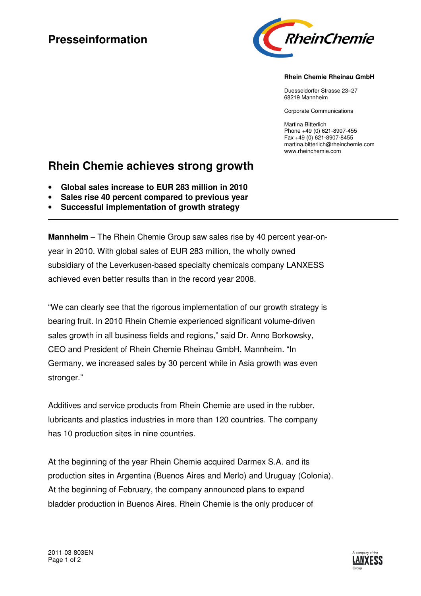# **Presseinformation**



### **Rhein Chemie Rheinau GmbH**

Duesseldorfer Strasse 23–27 68219 Mannheim

Corporate Communications

Martina Bitterlich Phone +49 (0) 621-8907-455 Fax +49 (0) 621-8907-8455 martina.bitterlich@rheinchemie.com www.rheinchemie.com

## **Rhein Chemie achieves strong growth**

- **Global sales increase to EUR 283 million in 2010**
- **Sales rise 40 percent compared to previous year**
- **Successful implementation of growth strategy**

**Mannheim** – The Rhein Chemie Group saw sales rise by 40 percent year-onyear in 2010. With global sales of EUR 283 million, the wholly owned subsidiary of the Leverkusen-based specialty chemicals company LANXESS achieved even better results than in the record year 2008.

"We can clearly see that the rigorous implementation of our growth strategy is bearing fruit. In 2010 Rhein Chemie experienced significant volume-driven sales growth in all business fields and regions," said Dr. Anno Borkowsky, CEO and President of Rhein Chemie Rheinau GmbH, Mannheim. "In Germany, we increased sales by 30 percent while in Asia growth was even stronger."

Additives and service products from Rhein Chemie are used in the rubber, lubricants and plastics industries in more than 120 countries. The company has 10 production sites in nine countries.

At the beginning of the year Rhein Chemie acquired Darmex S.A. and its production sites in Argentina (Buenos Aires and Merlo) and Uruguay (Colonia). At the beginning of February, the company announced plans to expand bladder production in Buenos Aires. Rhein Chemie is the only producer of